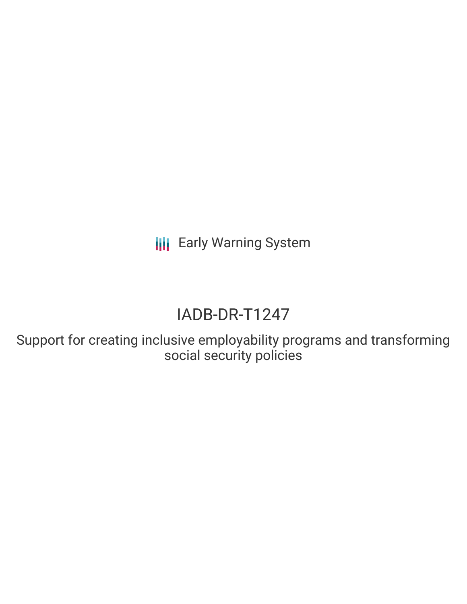**III** Early Warning System

# IADB-DR-T1247

Support for creating inclusive employability programs and transforming social security policies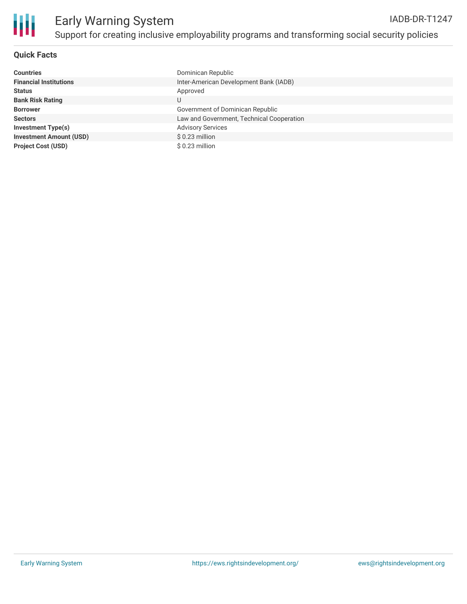

### **Quick Facts**

| <b>Countries</b>               | Dominican Republic                        |
|--------------------------------|-------------------------------------------|
| <b>Financial Institutions</b>  | Inter-American Development Bank (IADB)    |
| <b>Status</b>                  | Approved                                  |
| <b>Bank Risk Rating</b>        | U                                         |
| <b>Borrower</b>                | Government of Dominican Republic          |
| <b>Sectors</b>                 | Law and Government, Technical Cooperation |
| <b>Investment Type(s)</b>      | <b>Advisory Services</b>                  |
| <b>Investment Amount (USD)</b> | \$0.23 million                            |
| <b>Project Cost (USD)</b>      | $$0.23$ million                           |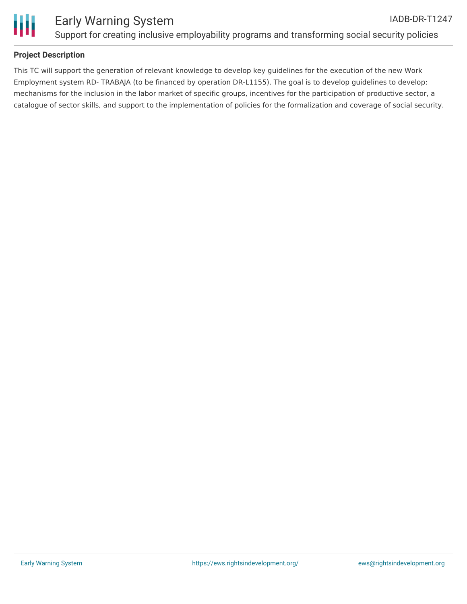

### **Project Description**

This TC will support the generation of relevant knowledge to develop key guidelines for the execution of the new Work Employment system RD- TRABAJA (to be financed by operation DR-L1155). The goal is to develop guidelines to develop: mechanisms for the inclusion in the labor market of specific groups, incentives for the participation of productive sector, a catalogue of sector skills, and support to the implementation of policies for the formalization and coverage of social security.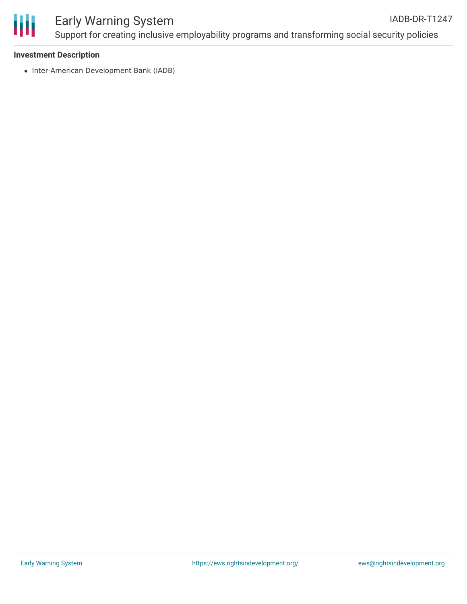

# Early Warning System

Support for creating inclusive employability programs and transforming social security policies

#### **Investment Description**

• Inter-American Development Bank (IADB)